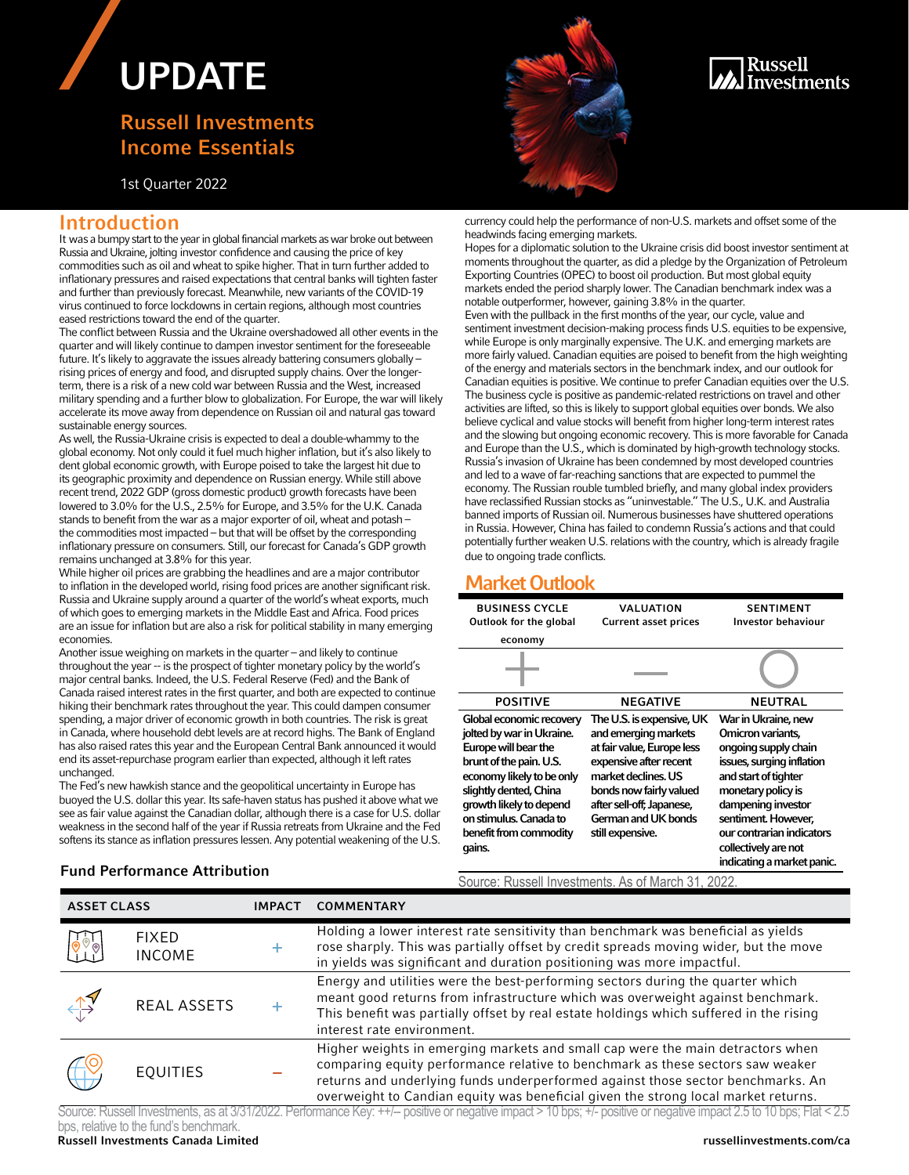# UPDATE

## Russell Investments Income Essentials

1st Quarter 2022



### Russell nvestments

### Introduction

It was a bumpy start to the year in global financial markets as war broke out between Russia and Ukraine, jolting investor confidence and causing the price of key commodities such as oil and wheat to spike higher. That in turn further added to inflationary pressures and raised expectations that central banks will tighten faster and further than previously forecast. Meanwhile, new variants of the COVID-19 virus continued to force lockdowns in certain regions, although most countries eased restrictions toward the end of the quarter.

The conflict between Russia and the Ukraine overshadowed all other events in the quarter and will likely continue to dampen investor sentiment for the foreseeable future. It's likely to aggravate the issues already battering consumers globally – rising prices of energy and food, and disrupted supply chains. Over the longerterm, there is a risk of a new cold war between Russia and the West, increased military spending and a further blow to globalization. For Europe, the war will likely accelerate its move away from dependence on Russian oil and natural gas toward sustainable energy sources.

As well, the Russia-Ukraine crisis is expected to deal a double-whammy to the global economy. Not only could it fuel much higher inflation, but it's also likely to dent global economic growth, with Europe poised to take the largest hit due to its geographic proximity and dependence on Russian energy. While still above recent trend, 2022 GDP (gross domestic product) growth forecasts have been lowered to 3.0% for the U.S., 2.5% for Europe, and 3.5% for the U.K. Canada stands to benefit from the war as a major exporter of oil, wheat and potash – the commodities most impacted – but that will be offset by the corresponding inflationary pressure on consumers. Still, our forecast for Canada's GDP growth remains unchanged at 3.8% for this year.

While higher oil prices are grabbing the headlines and are a major contributor to inflation in the developed world, rising food prices are another significant risk. Russia and Ukraine supply around a quarter of the world's wheat exports, much of which goes to emerging markets in the Middle East and Africa. Food prices are an issue for inflation but are also a risk for political stability in many emerging economies.

Another issue weighing on markets in the quarter – and likely to continue throughout the year -- is the prospect of tighter monetary policy by the world's major central banks. Indeed, the U.S. Federal Reserve (Fed) and the Bank of Canada raised interest rates in the first quarter, and both are expected to continue hiking their benchmark rates throughout the year. This could dampen consumer spending, a major driver of economic growth in both countries. The risk is great in Canada, where household debt levels are at record highs. The Bank of England has also raised rates this year and the European Central Bank announced it would end its asset-repurchase program earlier than expected, although it left rates unchanged.

The Fed's new hawkish stance and the geopolitical uncertainty in Europe has buoyed the U.S. dollar this year. Its safe-haven status has pushed it above what we see as fair value against the Canadian dollar, although there is a case for U.S. dollar weakness in the second half of the year if Russia retreats from Ukraine and the Fed softens its stance as inflation pressures lessen. Any potential weakening of the U.S.

#### **Fund Performance Attribution**

currency could help the performance of non-U.S. markets and offset some of the headwinds facing emerging markets.

Hopes for a diplomatic solution to the Ukraine crisis did boost investor sentiment at moments throughout the quarter, as did a pledge by the Organization of Petroleum Exporting Countries (OPEC) to boost oil production. But most global equity markets ended the period sharply lower. The Canadian benchmark index was a notable outperformer, however, gaining 3.8% in the quarter. Even with the pullback in the first months of the year, our cycle, value and sentiment investment decision-making process finds U.S. equities to be expensive, while Europe is only marginally expensive. The U.K. and emerging markets are more fairly valued. Canadian equities are poised to benefit from the high weighting of the energy and materials sectors in the benchmark index, and our outlook for Canadian equities is positive. We continue to prefer Canadian equities over the U.S. The business cycle is positive as pandemic-related restrictions on travel and other activities are lifted, so this is likely to support global equities over bonds. We also believe cyclical and value stocks will benefit from higher long-term interest rates and the slowing but ongoing economic recovery. This is more favorable for Canada and Europe than the U.S., which is dominated by high-growth technology stocks. Russia's invasion of Ukraine has been condemned by most developed countries and led to a wave of far-reaching sanctions that are expected to pummel the economy. The Russian rouble tumbled briefly, and many global index providers have reclassified Russian stocks as "uninvestable." The U.S., U.K. and Australia banned imports of Russian oil. Numerous businesses have shuttered operations in Russia. However, China has failed to condemn Russia's actions and that could potentially further weaken U.S. relations with the country, which is already fragile due to ongoing trade conflicts.

## Market Outlook

| <b>BUSINESS CYCLE</b>                                                                                                                                                                                                                                    | VALUATION                                                                                                                                                                                                                           | <b>SENTIMENT</b>                                                                                                                                                                                                                                                            |  |  |  |  |  |  |
|----------------------------------------------------------------------------------------------------------------------------------------------------------------------------------------------------------------------------------------------------------|-------------------------------------------------------------------------------------------------------------------------------------------------------------------------------------------------------------------------------------|-----------------------------------------------------------------------------------------------------------------------------------------------------------------------------------------------------------------------------------------------------------------------------|--|--|--|--|--|--|
| Outlook for the global                                                                                                                                                                                                                                   | <b>Current asset prices</b>                                                                                                                                                                                                         | <b>Investor behaviour</b>                                                                                                                                                                                                                                                   |  |  |  |  |  |  |
| economy                                                                                                                                                                                                                                                  |                                                                                                                                                                                                                                     |                                                                                                                                                                                                                                                                             |  |  |  |  |  |  |
|                                                                                                                                                                                                                                                          |                                                                                                                                                                                                                                     |                                                                                                                                                                                                                                                                             |  |  |  |  |  |  |
| <b>POSITIVE</b>                                                                                                                                                                                                                                          | <b>NEGATIVE</b>                                                                                                                                                                                                                     | <b>NEUTRAL</b>                                                                                                                                                                                                                                                              |  |  |  |  |  |  |
| Global economic recovery<br>jolted by war in Ukraine.<br>Europe will bear the<br>brunt of the pain. U.S.<br>economy likely to be only<br>slightly dented, China<br>growth likely to depend<br>on stimulus. Canada to<br>benefit from commodity<br>gains. | The U.S. is expensive, UK<br>and emerging markets<br>at fair value, Europe less<br>expensive after recent<br>market declines. US<br>bonds now fairly valued<br>after sell-off; Japanese,<br>German and UK bonds<br>still expensive. | War in Ukraine, new<br>Omicron variants,<br>ongoing supply chain<br>issues, surging inflation<br>and start of tighter<br>monetary policy is<br>dampening investor<br>sentiment. However,<br>our contrarian indicators<br>collectively are not<br>indicating a market panic. |  |  |  |  |  |  |
| Source: Pussell Investments, As of March 31, 2022                                                                                                                                                                                                        |                                                                                                                                                                                                                                     |                                                                                                                                                                                                                                                                             |  |  |  |  |  |  |

| <b>ASSET CLASS</b>          |                               | <b>IMPACT</b> | <b>COMMENTARY</b>                                                                                                                                                                                                                                                                                                                         |
|-----------------------------|-------------------------------|---------------|-------------------------------------------------------------------------------------------------------------------------------------------------------------------------------------------------------------------------------------------------------------------------------------------------------------------------------------------|
| $\overline{\bullet}$        | <b>FIXED</b><br><b>INCOME</b> | ÷             | Holding a lower interest rate sensitivity than benchmark was beneficial as yields<br>rose sharply. This was partially offset by credit spreads moving wider, but the move<br>in yields was significant and duration positioning was more impactful.                                                                                       |
| $\leftrightarrow$           | <b>REAL ASSETS</b>            |               | Energy and utilities were the best-performing sectors during the quarter which<br>meant good returns from infrastructure which was overweight against benchmark.<br>This benefit was partially offset by real estate holdings which suffered in the rising<br>interest rate environment.                                                  |
| $\overleftrightarrow{\Box}$ | <b>EQUITIES</b>               |               | Higher weights in emerging markets and small cap were the main detractors when<br>comparing equity performance relative to benchmark as these sectors saw weaker<br>returns and underlying funds underperformed against those sector benchmarks. An<br>overweight to Candian equity was beneficial given the strong local market returns. |

Russell Investments Canada Limited russellinvestments.com/ca Source: Russell Investments, as at 3/31/2022. Performance Key: ++/-- positive or negative impact > 10 bps; +/- positive or negative impact 2.5 to 10 bps; Flat < 2.5 bps, relative to the fund's benchmark.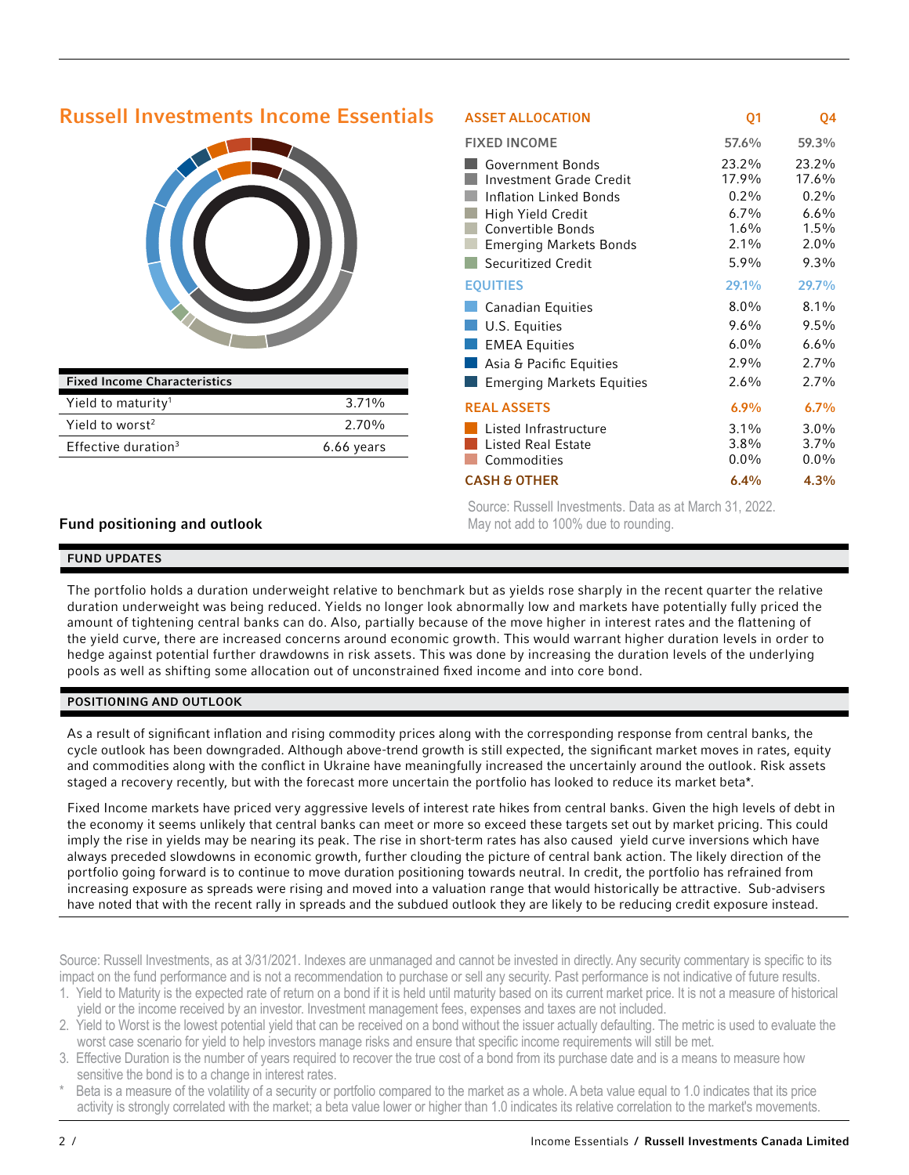| <b>Russell Investments Income Essentials</b> |              | <b>ASSET ALLOCATION</b>                                                                                                                                                                     | Q <sub>1</sub>                                                  | Q4                                                                 |
|----------------------------------------------|--------------|---------------------------------------------------------------------------------------------------------------------------------------------------------------------------------------------|-----------------------------------------------------------------|--------------------------------------------------------------------|
|                                              |              | <b>FIXED INCOME</b>                                                                                                                                                                         | 57.6%                                                           | 59.3%                                                              |
|                                              |              | <b>Government Bonds</b><br>Investment Grade Credit<br><b>Inflation Linked Bonds</b><br>High Yield Credit<br><b>Convertible Bonds</b><br><b>Emerging Markets Bonds</b><br>Securitized Credit | 23.2%<br>17.9%<br>$0.2\%$<br>6.7%<br>$1.6\%$<br>$2.1\%$<br>5.9% | 23.2%<br>17.6%<br>$0.2\%$<br>6.6%<br>$1.5\%$<br>$2.0\%$<br>$9.3\%$ |
|                                              |              | <b>EQUITIES</b>                                                                                                                                                                             | 29.1%                                                           | 29.7%                                                              |
|                                              |              | <b>Canadian Equities</b>                                                                                                                                                                    | $8.0\%$                                                         | 8.1%                                                               |
|                                              |              | U.S. Equities                                                                                                                                                                               | $9.6\%$                                                         | 9.5%                                                               |
|                                              |              | <b>EMEA Equities</b>                                                                                                                                                                        | $6.0\%$                                                         | 6.6%                                                               |
|                                              |              | Asia & Pacific Equities                                                                                                                                                                     | 2.9%                                                            | 2.7%                                                               |
| <b>Fixed Income Characteristics</b>          |              | <b>Emerging Markets Equities</b>                                                                                                                                                            | 2.6%                                                            | 2.7%                                                               |
| Yield to maturity <sup>1</sup>               | 3.71%        | <b>REAL ASSETS</b>                                                                                                                                                                          | 6.9%                                                            | 6.7%                                                               |
| Yield to worst <sup>2</sup>                  | 2.70%        | Listed Infrastructure                                                                                                                                                                       | $3.1\%$                                                         | $3.0\%$                                                            |
| Effective duration $3$                       | $6.66$ years | isted Real Estate<br>Commodities                                                                                                                                                            | $3.8\%$<br>$0.0\%$                                              | $3.7\%$<br>$0.0\%$                                                 |
|                                              |              | <b>CASH &amp; OTHER</b>                                                                                                                                                                     | 6.4%                                                            | 4.3%                                                               |

Source: Russell Investments. Data as at March 31, 2022. May not add to 100% due to rounding.

#### Fund positioning and outlook

#### FUND UPDATES

The portfolio holds a duration underweight relative to benchmark but as yields rose sharply in the recent quarter the relative duration underweight was being reduced. Yields no longer look abnormally low and markets have potentially fully priced the amount of tightening central banks can do. Also, partially because of the move higher in interest rates and the flattening of the yield curve, there are increased concerns around economic growth. This would warrant higher duration levels in order to hedge against potential further drawdowns in risk assets. This was done by increasing the duration levels of the underlying pools as well as shifting some allocation out of unconstrained fixed income and into core bond.

#### POSITIONING AND OUTLOOK

As a result of significant inflation and rising commodity prices along with the corresponding response from central banks, the cycle outlook has been downgraded. Although above-trend growth is still expected, the significant market moves in rates, equity and commodities along with the conflict in Ukraine have meaningfully increased the uncertainly around the outlook. Risk assets staged a recovery recently, but with the forecast more uncertain the portfolio has looked to reduce its market beta\*.

Fixed Income markets have priced very aggressive levels of interest rate hikes from central banks. Given the high levels of debt in the economy it seems unlikely that central banks can meet or more so exceed these targets set out by market pricing. This could imply the rise in yields may be nearing its peak. The rise in short-term rates has also caused yield curve inversions which have always preceded slowdowns in economic growth, further clouding the picture of central bank action. The likely direction of the portfolio going forward is to continue to move duration positioning towards neutral. In credit, the portfolio has refrained from increasing exposure as spreads were rising and moved into a valuation range that would historically be attractive. Sub-advisers have noted that with the recent rally in spreads and the subdued outlook they are likely to be reducing credit exposure instead.

Source: Russell Investments, as at 3/31/2021. Indexes are unmanaged and cannot be invested in directly. Any security commentary is specific to its impact on the fund performance and is not a recommendation to purchase or sell any security. Past performance is not indicative of future results.

- 1. Yield to Maturity is the expected rate of return on a bond if it is held until maturity based on its current market price. It is not a measure of historical yield or the income received by an investor. Investment management fees, expenses and taxes are not included.
- 2. Yield to Worst is the lowest potential yield that can be received on a bond without the issuer actually defaulting. The metric is used to evaluate the worst case scenario for yield to help investors manage risks and ensure that specific income requirements will still be met.
- 3. Effective Duration is the number of years required to recover the true cost of a bond from its purchase date and is a means to measure how sensitive the bond is to a change in interest rates.
- Beta is a measure of the volatility of a security or portfolio compared to the market as a whole. A beta value equal to 1.0 indicates that its price activity is strongly correlated with the market; a beta value lower or higher than 1.0 indicates its relative correlation to the market's movements.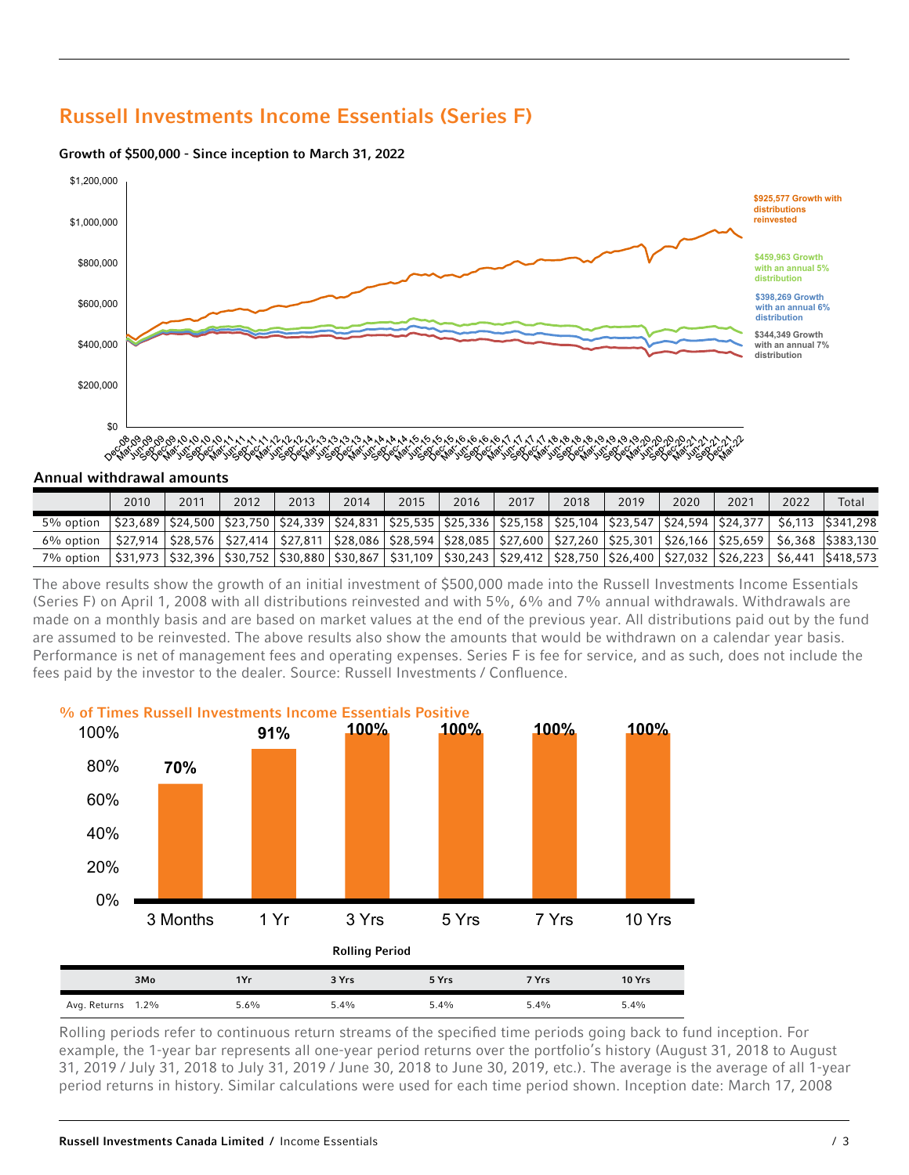## Russell Investments Income Essentials (Series F)

#### Growth of \$500,000 - Since inception to March 31, 2022



#### Annual withdrawal amounts

|           | 2010 | 2011 | 2012 | 2013 | 2014 | 2015 | 2016 | 2017 | 2018 | 2019 | 2020 | 2021 | 2022 | Total                                                                                                                                                   |
|-----------|------|------|------|------|------|------|------|------|------|------|------|------|------|---------------------------------------------------------------------------------------------------------------------------------------------------------|
| 5% option |      |      |      |      |      |      |      |      |      |      |      |      |      | \$23,689   \$24,500   \$23,750   \$24,339   \$24,831   \$25,535   \$25,336   \$25,158   \$25,104   \$23,547   \$24,594   \$24,377   \$6,113   \$341,298 |
| 6% option |      |      |      |      |      |      |      |      |      |      |      |      |      | \$27,914   \$28,576   \$27,414   \$27,811   \$28,086   \$28,594   \$28,085   \$27,600   \$27,260   \$25,301   \$26,166   \$25,659   \$6,368   \$383,130 |
| 7% option |      |      |      |      |      |      |      |      |      |      |      |      |      | \$31,973   \$32,396   \$30,752   \$30,880   \$30,867   \$31,109   \$30,243   \$29,412   \$28,750   \$26,400   \$27,032   \$26,223   \$6,441   \$418,573 |

The above results show the growth of an initial investment of \$500,000 made into the Russell Investments Income Essentials (Series F) on April 1, 2008 with all distributions reinvested and with 5%, 6% and 7% annual withdrawals. Withdrawals are made on a monthly basis and are based on market values at the end of the previous year. All distributions paid out by the fund are assumed to be reinvested. The above results also show the amounts that would be withdrawn on a calendar year basis. Performance is net of management fees and operating expenses. Series F is fee for service, and as such, does not include the fees paid by the investor to the dealer. Source: Russell Investments / Confluence.



Rolling periods refer to continuous return streams of the specified time periods going back to fund inception. For example, the 1-year bar represents all one-year period returns over the portfolio's history (August 31, 2018 to August 31, 2019 / July 31, 2018 to July 31, 2019 / June 30, 2018 to June 30, 2019, etc.). The average is the average of all 1-year period returns in history. Similar calculations were used for each time period shown. Inception date: March 17, 2008